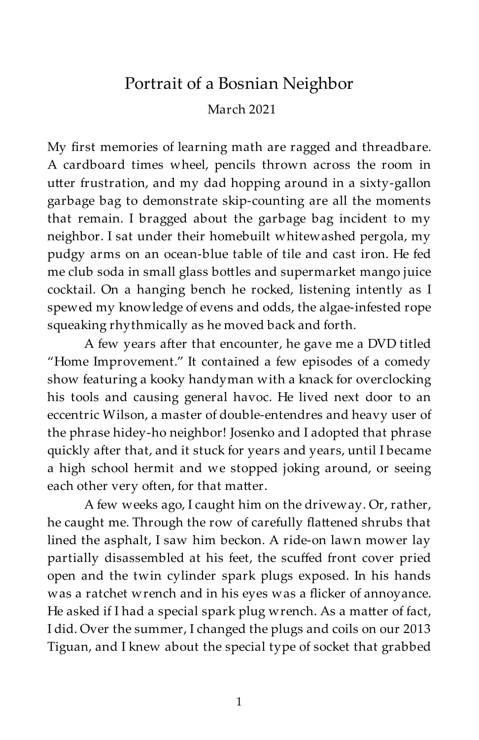## Portrait of a Bosnian Neighbor

March 2021

My first memories of learning math are ragged and threadbare. A cardboard times wheel, pencils thrown across the room in utter frustration, and my dad hopping around in a sixty-gallon garbage bag to demonstrate skip-counting are all the moments that remain. I bragged about the garbage bag incident to my neighbor. I sat under their homebuilt whitewashed pergola, my pudgy arms on an ocean-blue table of tile and cast iron. He fed me club soda in small glass bottles and supermarket mango juice cocktail. On a hanging bench he rocked, listening intently as I spewed my knowledge of evens and odds, the algae-infested rope squeaking rhythmically as he moved back and forth.

A few years after that encounter, he gave me a DVD titled "Home Improvement." It contained a few episodes of a comedy show featuring a kooky handyman with a knack for overclocking his tools and causing general havoc. He lived next door to an eccentric Wilson, a master of double-entendres and heavy user of the phrase hidey-ho neighbor! Josenko and I adopted that phrase quickly after that, and it stuck for years and years, until I became a high school hermit and we stopped joking around, or seeing each other very often, for that matter.

A few weeks ago, I caught him on the driveway. Or, rather, he caught me. Through the row of carefully flattened shrubs that lined the asphalt, I saw him beckon. A ride-on lawn mower lay partially disassembled at his feet, the scuffed front cover pried open and the twin cylinder spark plugs exposed. In his hands was a ratchet wrench and in his eyes was a flicker of annoyance. He asked if I had a special spark plug wrench. As a matter of fact, I did. Over the summer, I changed the plugs and coils on our 2013 Tiguan, and I knew about the special type of socket that grabbed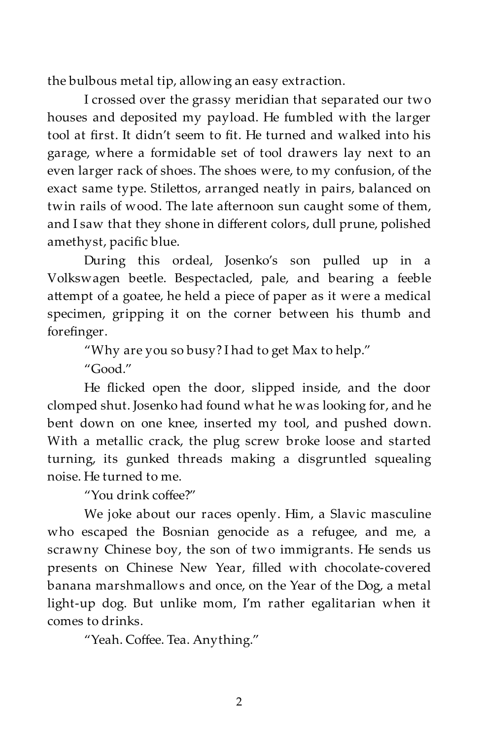the bulbous metal tip, allowing an easy extraction.

I crossed over the grassy meridian that separated our two houses and deposited my payload. He fumbled with the larger tool at first. It didn't seem to fit. He turned and walked into his garage, where a formidable set of tool drawers lay next to an even larger rack of shoes. The shoes were, to my confusion, of the exact same type. Stilettos, arranged neatly in pairs, balanced on twin rails of wood. The late afternoon sun caught some of them, and I saw that they shone in different colors, dull prune, polished amethyst, pacific blue.

During this ordeal, Josenko's son pulled up in a Volkswagen beetle. Bespectacled, pale, and bearing a feeble attempt of a goatee, he held a piece of paper as it were a medical specimen, gripping it on the corner between his thumb and forefinger.

"Why are you so busy? I had to get Max to help."

"Good."

He flicked open the door, slipped inside, and the door clomped shut. Josenko had found what he was looking for, and he bent down on one knee, inserted my tool, and pushed down. With a metallic crack, the plug screw broke loose and started turning, its gunked threads making a disgruntled squealing noise. He turned to me.

"You drink coffee?"

We joke about our races openly. Him, a Slavic masculine who escaped the Bosnian genocide as a refugee, and me, a scrawny Chinese boy, the son of two immigrants. He sends us presents on Chinese New Year, filled with chocolate-covered banana marshmallows and once, on the Year of the Dog, a metal light-up dog. But unlike mom, I'm rather egalitarian when it comes to drinks.

"Yeah. Coffee. Tea. Anything."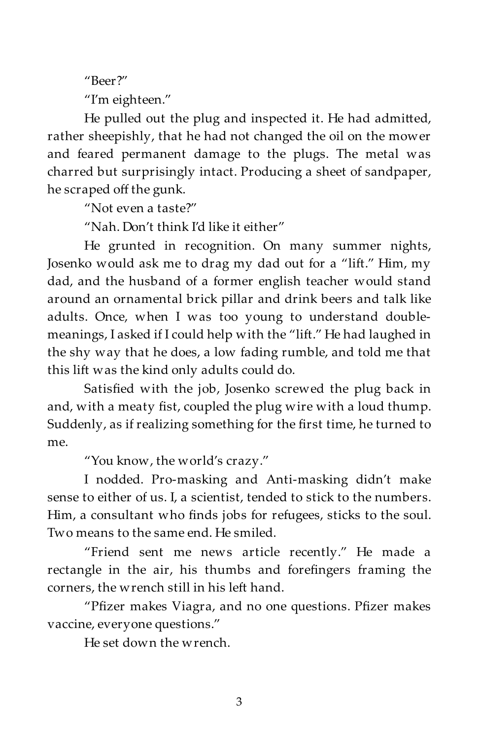"Beer?"

"I'm eighteen."

He pulled out the plug and inspected it. He had admitted, rather sheepishly, that he had not changed the oil on the mower and feared permanent damage to the plugs. The metal was charred but surprisingly intact. Producing a sheet of sandpaper, he scraped off the gunk.

"Not even a taste?"

"Nah. Don't think I'd like it either"

He grunted in recognition. On many summer nights, Josenko would ask me to drag my dad out for a "lift." Him, my dad, and the husband of a former english teacher would stand around an ornamental brick pillar and drink beers and talk like adults. Once, when I was too young to understand doublemeanings, I asked if I could help with the "lift." He had laughed in the shy way that he does, a low fading rumble, and told me that this lift was the kind only adults could do.

Satisfied with the job, Josenko screwed the plug back in and, with a meaty fist, coupled the plug wire with a loud thump. Suddenly, as if realizing something for the first time, he turned to me.

"You know, the world's crazy."

I nodded. Pro-masking and Anti-masking didn't make sense to either of us. I, a scientist, tended to stick to the numbers. Him, a consultant who finds jobs for refugees, sticks to the soul. Two means to the same end. He smiled.

"Friend sent me news article recently." He made a rectangle in the air, his thumbs and forefingers framing the corners, the wrench still in his left hand.

"Pfizer makes Viagra, and no one questions. Pfizer makes vaccine, everyone questions."

He set down the wrench.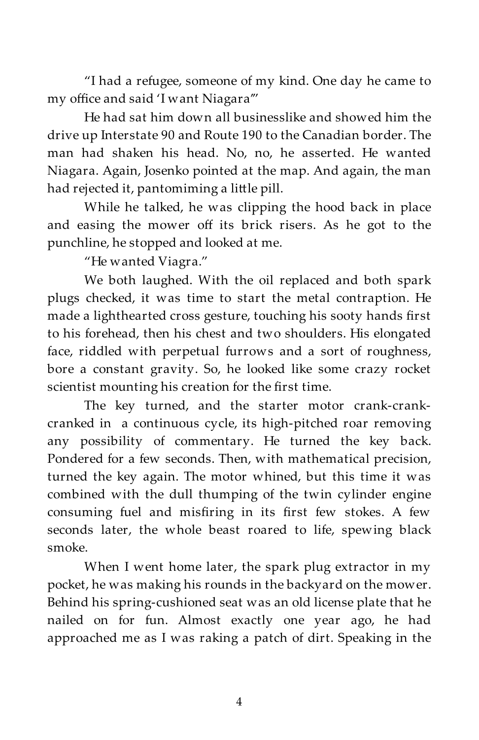"I had a refugee, someone of my kind. One day he came to my office and said 'I want Niagara'"

He had sat him down all businesslike and showed him the drive up Interstate 90 and Route 190 to the Canadian border. The man had shaken his head. No, no, he asserted. He wanted Niagara. Again, Josenko pointed at the map. And again, the man had rejected it, pantomiming a little pill.

While he talked, he was clipping the hood back in place and easing the mower off its brick risers. As he got to the punchline, he stopped and looked at me.

"He wanted Viagra."

We both laughed. With the oil replaced and both spark plugs checked, it was time to start the metal contraption. He made a lighthearted cross gesture, touching his sooty hands first to his forehead, then his chest and two shoulders. His elongated face, riddled with perpetual furrows and a sort of roughness, bore a constant gravity. So, he looked like some crazy rocket scientist mounting his creation for the first time.

The key turned, and the starter motor crank-crankcranked in a continuous cycle, its high-pitched roar removing any possibility of commentary. He turned the key back. Pondered for a few seconds. Then, with mathematical precision, turned the key again. The motor whined, but this time it was combined with the dull thumping of the twin cylinder engine consuming fuel and misfiring in its first few stokes. A few seconds later, the whole beast roared to life, spewing black smoke.

When I went home later, the spark plug extractor in my pocket, he was making his rounds in the backyard on the mower. Behind his spring-cushioned seat was an old license plate that he nailed on for fun. Almost exactly one year ago, he had approached me as I was raking a patch of dirt. Speaking in the